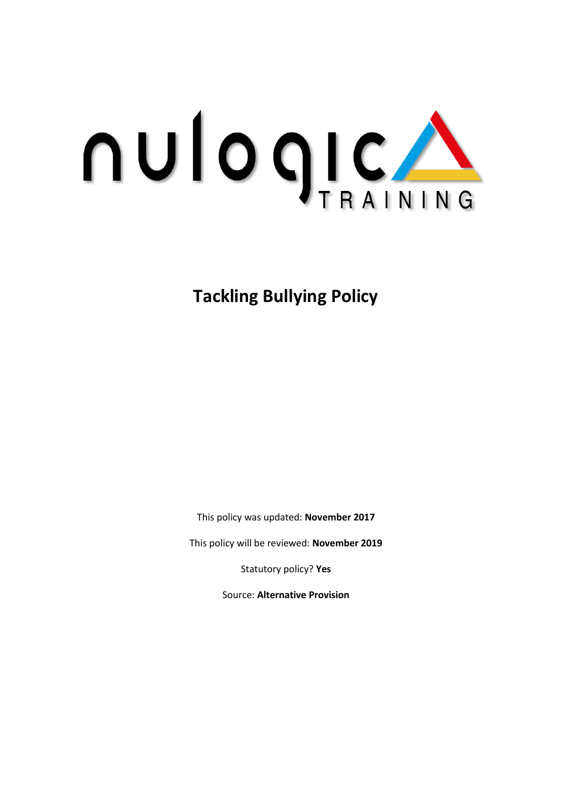

**Tackling Bullying Policy** 

This policy was updated: **November 2017**

This policy will be reviewed: **November 2019**

Statutory policy? **Yes**

Source: **Alternative Provision**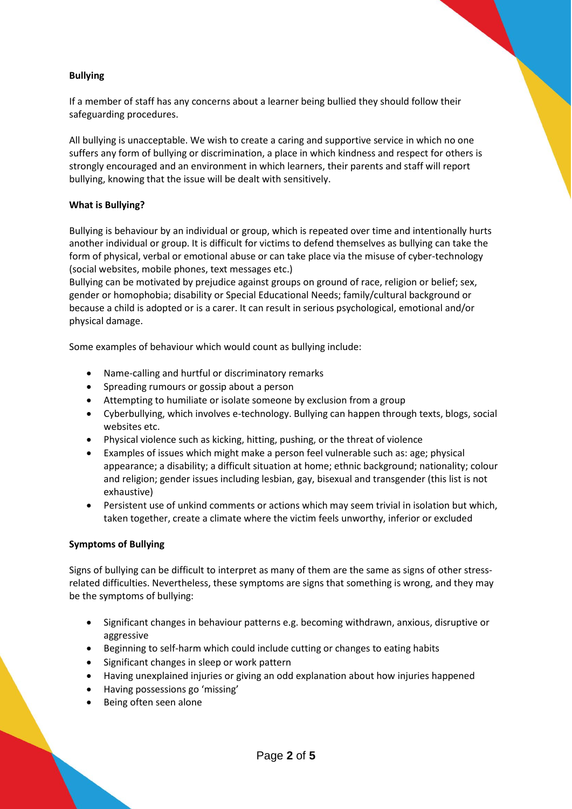#### **Bullying**

If a member of staff has any concerns about a learner being bullied they should follow their safeguarding procedures.

All bullying is unacceptable. We wish to create a caring and supportive service in which no one suffers any form of bullying or discrimination, a place in which kindness and respect for others is strongly encouraged and an environment in which learners, their parents and staff will report bullying, knowing that the issue will be dealt with sensitively.

#### **What is Bullying?**

Bullying is behaviour by an individual or group, which is repeated over time and intentionally hurts another individual or group. It is difficult for victims to defend themselves as bullying can take the form of physical, verbal or emotional abuse or can take place via the misuse of cyber-technology (social websites, mobile phones, text messages etc.)

Bullying can be motivated by prejudice against groups on ground of race, religion or belief; sex, gender or homophobia; disability or Special Educational Needs; family/cultural background or because a child is adopted or is a carer. It can result in serious psychological, emotional and/or physical damage.

Some examples of behaviour which would count as bullying include:

- Name-calling and hurtful or discriminatory remarks
- Spreading rumours or gossip about a person
- Attempting to humiliate or isolate someone by exclusion from a group
- Cyberbullying, which involves e-technology. Bullying can happen through texts, blogs, social websites etc.
- Physical violence such as kicking, hitting, pushing, or the threat of violence
- Examples of issues which might make a person feel vulnerable such as: age; physical appearance; a disability; a difficult situation at home; ethnic background; nationality; colour and religion; gender issues including lesbian, gay, bisexual and transgender (this list is not exhaustive)
- Persistent use of unkind comments or actions which may seem trivial in isolation but which, taken together, create a climate where the victim feels unworthy, inferior or excluded

#### **Symptoms of Bullying**

Signs of bullying can be difficult to interpret as many of them are the same as signs of other stressrelated difficulties. Nevertheless, these symptoms are signs that something is wrong, and they may be the symptoms of bullying:

- Significant changes in behaviour patterns e.g. becoming withdrawn, anxious, disruptive or aggressive
- Beginning to self-harm which could include cutting or changes to eating habits
- Significant changes in sleep or work pattern
- Having unexplained injuries or giving an odd explanation about how injuries happened
- Having possessions go 'missing'
- Being often seen alone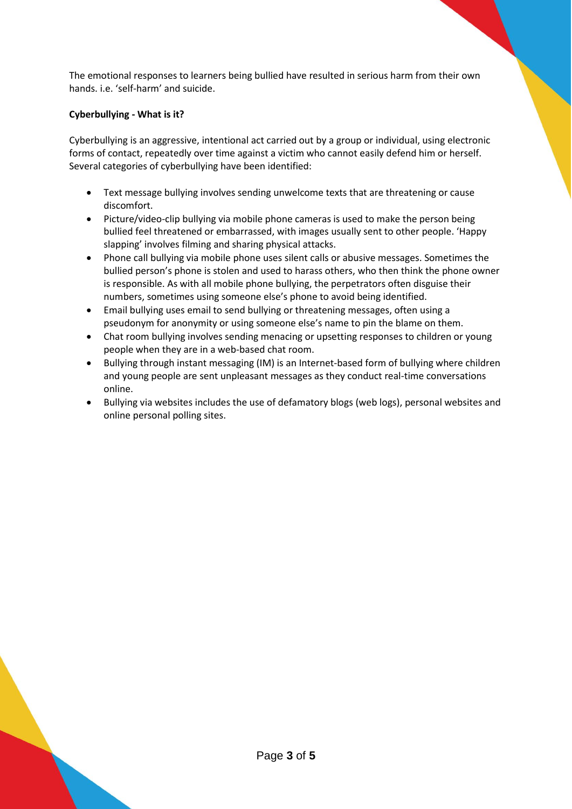The emotional responses to learners being bullied have resulted in serious harm from their own hands. i.e. 'self-harm' and suicide.

## **Cyberbullying - What is it?**

Cyberbullying is an aggressive, intentional act carried out by a group or individual, using electronic forms of contact, repeatedly over time against a victim who cannot easily defend him or herself. Several categories of cyberbullying have been identified:

- Text message bullying involves sending unwelcome texts that are threatening or cause discomfort.
- Picture/video-clip bullying via mobile phone cameras is used to make the person being bullied feel threatened or embarrassed, with images usually sent to other people. 'Happy slapping' involves filming and sharing physical attacks.
- Phone call bullying via mobile phone uses silent calls or abusive messages. Sometimes the bullied person's phone is stolen and used to harass others, who then think the phone owner is responsible. As with all mobile phone bullying, the perpetrators often disguise their numbers, sometimes using someone else's phone to avoid being identified.
- Email bullying uses email to send bullying or threatening messages, often using a pseudonym for anonymity or using someone else's name to pin the blame on them.
- Chat room bullying involves sending menacing or upsetting responses to children or young people when they are in a web-based chat room.
- Bullying through instant messaging (IM) is an Internet-based form of bullying where children and young people are sent unpleasant messages as they conduct real-time conversations online.
- Bullying via websites includes the use of defamatory blogs (web logs), personal websites and online personal polling sites.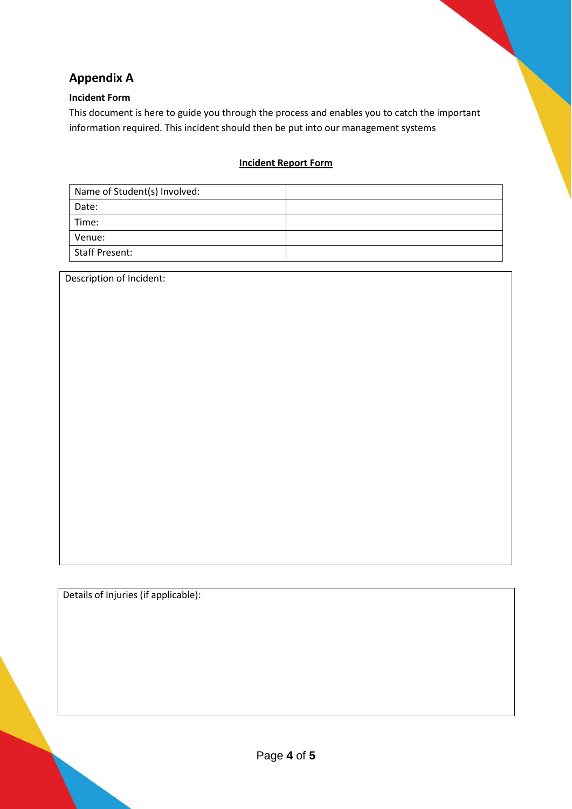# **Appendix A**

## **Incident Form**

This document is here to guide you through the process and enables you to catch the important information required. This incident should then be put into our management systems

## **Incident Report Form**

| Name of Student(s) Involved: |  |
|------------------------------|--|
| Date:                        |  |
| Time:                        |  |
| Venue:                       |  |
| <b>Staff Present:</b>        |  |

Description of Incident:

Details of Injuries (if applicable):